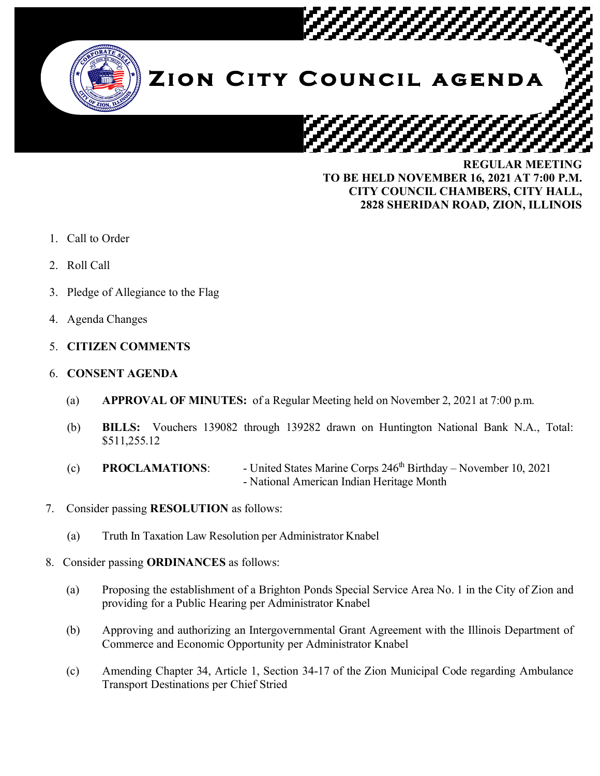

**TO BE HELD NOVEMBER 16, 2021 AT 7:00 P.M. CITY COUNCIL CHAMBERS, CITY HALL, 2828 SHERIDAN ROAD, ZION, ILLINOIS**

- 1. Call to Order
- 2. Roll Call
- 3. Pledge of Allegiance to the Flag
- 4. Agenda Changes
- 5. **CITIZEN COMMENTS**
- 6. **CONSENT AGENDA**
	- (a) **APPROVAL OF MINUTES:** of a Regular Meeting held on November 2, 2021 at 7:00 p.m.
	- (b) **BILLS:** Vouchers 139082 through 139282 drawn on Huntington National Bank N.A., Total: \$511,255.12
	- (c) **PROCLAMATIONS**: United States Marine Corps 246th Birthday November 10, 2021 - National American Indian Heritage Month
- 7. Consider passing **RESOLUTION** as follows:
	- (a) Truth In Taxation Law Resolution per Administrator Knabel
- 8. Consider passing **ORDINANCES** as follows:
	- (a) Proposing the establishment of a Brighton Ponds Special Service Area No. 1 in the City of Zion and providing for a Public Hearing per Administrator Knabel
	- (b) Approving and authorizing an Intergovernmental Grant Agreement with the Illinois Department of Commerce and Economic Opportunity per Administrator Knabel
	- (c) Amending Chapter 34, Article 1, Section 34-17 of the Zion Municipal Code regarding Ambulance Transport Destinations per Chief Stried